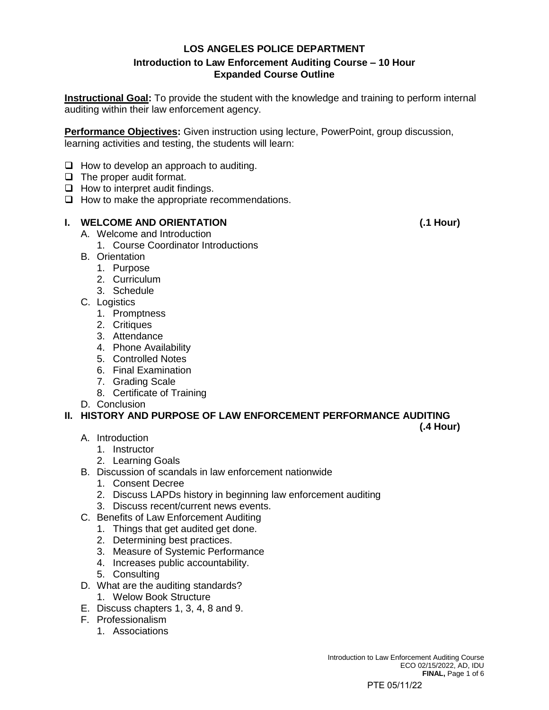## **LOS ANGELES POLICE DEPARTMENT Introduction to Law Enforcement Auditing Course – 10 Hour Expanded Course Outline**

**Instructional Goal:** To provide the student with the knowledge and training to perform internal auditing within their law enforcement agency.

**Performance Objectives:** Given instruction using lecture, PowerPoint, group discussion, learning activities and testing, the students will learn:

- $\Box$  How to develop an approach to auditing.
- ❑ The proper audit format.
- ❑ How to interpret audit findings.
- ❑ How to make the appropriate recommendations.

## **I. WELCOME AND ORIENTATION (.1 Hour)**

- A. Welcome and Introduction
	- 1. Course Coordinator Introductions
- B. Orientation
	- 1. Purpose
	- 2. Curriculum
	- 3. Schedule
- C. Logistics
	- 1. Promptness
	- 2. Critiques
	- 3. Attendance
	- 4. Phone Availability
	- 5. Controlled Notes
	- 6. Final Examination
	- 7. Grading Scale
	- 8. Certificate of Training
- D. Conclusion

## **II. HISTORY AND PURPOSE OF LAW ENFORCEMENT PERFORMANCE AUDITING**

- A. Introduction
	- 1. Instructor
	- 2. Learning Goals
- B. Discussion of scandals in law enforcement nationwide
	- 1. Consent Decree
	- 2. Discuss LAPDs history in beginning law enforcement auditing
	- 3. Discuss recent/current news events.
- C. Benefits of Law Enforcement Auditing
	- 1. Things that get audited get done.
	- 2. Determining best practices.
	- 3. Measure of Systemic Performance
	- 4. Increases public accountability.
	- 5. Consulting
- D. What are the auditing standards?
	- 1. Welow Book Structure
- E. Discuss chapters 1, 3, 4, 8 and 9.
- F. Professionalism
	- 1. Associations

**(.4 Hour)**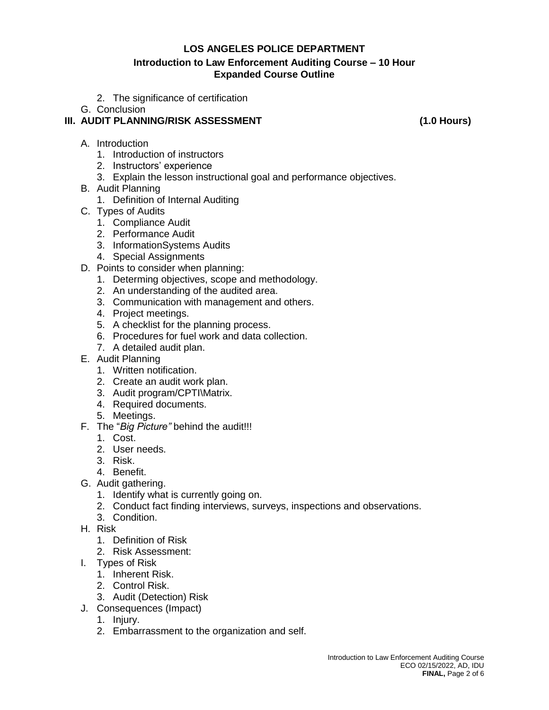### **Introduction to Law Enforcement Auditing Course – 10 Hour Expanded Course Outline**

- 2. The significance of certification
- G. Conclusion

## **III. AUDIT PLANNING/RISK ASSESSMENT (1.0 Hours)**

- A. Introduction
	- 1. Introduction of instructors
	- 2. Instructors' experience
	- 3. Explain the lesson instructional goal and performance objectives.
- B. Audit Planning
	- 1. Definition of Internal Auditing
- C. Types of Audits
	- 1. Compliance Audit
	- 2. Performance Audit
	- 3. InformationSystems Audits
	- 4. Special Assignments
- D. Points to consider when planning:
	- 1. Determing objectives, scope and methodology.
	- 2. An understanding of the audited area.
	- 3. Communication with management and others.
	- 4. Project meetings.
	- 5. A checklist for the planning process.
	- 6. Procedures for fuel work and data collection.
	- 7. A detailed audit plan.
- E. Audit Planning
	- 1. Written notification.
	- 2. Create an audit work plan.
	- 3. Audit program/CPTI\Matrix.
	- 4. Required documents.
	- 5. Meetings.
- F. The "*Big Picture"* behind the audit!!!
	- 1. Cost.
	- 2. User needs.
	- 3. Risk.
	- 4. Benefit.
- G. Audit gathering.
	- 1. Identify what is currently going on.
	- 2. Conduct fact finding interviews, surveys, inspections and observations.
	- 3. Condition.
- H. Risk
	- 1. Definition of Risk
	- 2. Risk Assessment:
- I. Types of Risk
	- 1. Inherent Risk.
	- 2. Control Risk.
	- 3. Audit (Detection) Risk
- J. Consequences (Impact)
	- 1. Injury.
	- 2. Embarrassment to the organization and self.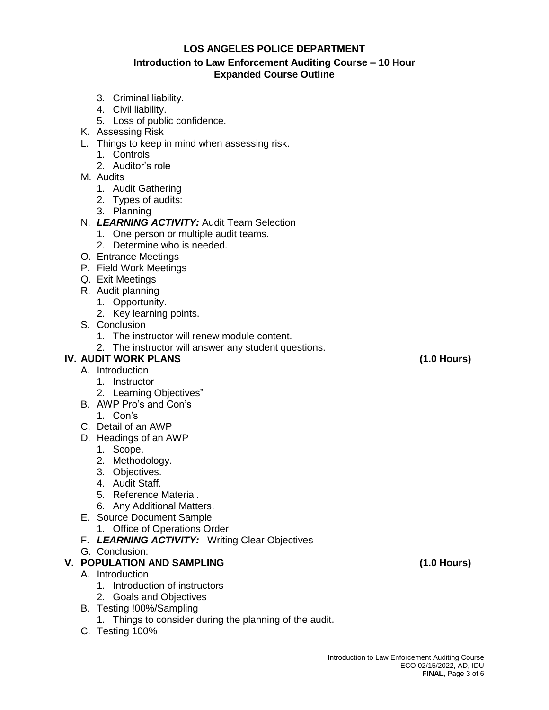### **Introduction to Law Enforcement Auditing Course – 10 Hour Expanded Course Outline**

- 3. Criminal liability.
- 4. Civil liability.
- 5. Loss of public confidence.
- K. Assessing Risk
- L. Things to keep in mind when assessing risk.
	- 1. Controls
	- 2. Auditor's role
- M. Audits
	- 1. Audit Gathering
	- 2. Types of audits:
	- 3. Planning

## N. *LEARNING ACTIVITY:* Audit Team Selection

- 1. One person or multiple audit teams.
- 2. Determine who is needed.
- O. Entrance Meetings
- P. Field Work Meetings
- Q. Exit Meetings
- R. Audit planning
	- 1. Opportunity.
	- 2. Key learning points.
- S. Conclusion
	- 1. The instructor will renew module content.
	- 2. The instructor will answer any student questions.

# **IV. AUDIT WORK PLANS (1.0 Hours)**

- A. Introduction
	- 1. Instructor
	- 2. Learning Objectives"
- B. AWP Pro's and Con's
	- 1. Con's
- C. Detail of an AWP
- D. Headings of an AWP
	- 1. Scope.
	- 2. Methodology.
	- 3. Objectives.
	- 4. Audit Staff.
	- 5. Reference Material.
	- 6. Any Additional Matters.
- E. Source Document Sample
	- 1. Office of Operations Order
- F. *LEARNING ACTIVITY:* Writing Clear Objectives
- G. Conclusion:

## **V. POPULATION AND SAMPLING (1.0 Hours)**

- A. Introduction
	- 1. Introduction of instructors
	- 2. Goals and Objectives
- B. Testing !00%/Sampling
	- 1. Things to consider during the planning of the audit.
- C. Testing 100%

Introduction to Law Enforcement Auditing Course ECO 02/15/2022, AD, IDU **FINAL,** Page 3 of 6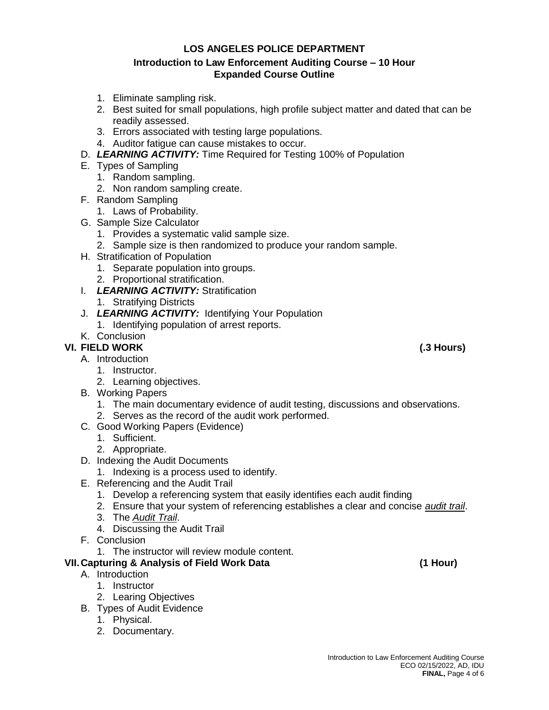### **Introduction to Law Enforcement Auditing Course – 10 Hour Expanded Course Outline**

- 1. Eliminate sampling risk.
- 2. Best suited for small populations, high profile subject matter and dated that can be readily assessed.
- 3. Errors associated with testing large populations.
- 4. Auditor fatigue can cause mistakes to occur.
- D. *LEARNING ACTIVITY:* Time Required for Testing 100% of Population
- E. Types of Sampling
	- 1. Random sampling.
	- 2. Non random sampling create.
- F. Random Sampling
	- 1. Laws of Probability.
- G. Sample Size Calculator
	- 1. Provides a systematic valid sample size.
	- 2. Sample size is then randomized to produce your random sample.
- H. Stratification of Population
	- 1. Separate population into groups.
	- 2. Proportional stratification.
- I. *LEARNING ACTIVITY:* Stratification
	- 1. Stratifying Districts
- J. *LEARNING ACTIVITY:* Identifying Your Population
	- 1. Identifying population of arrest reports.
- K. Conclusion

# **VI. FIELD WORK (.3 Hours)**

- A. Introduction
	- 1. Instructor.
	- 2. Learning objectives.
- B. Working Papers
	- 1. The main documentary evidence of audit testing, discussions and observations.
	- 2. Serves as the record of the audit work performed.
- C. Good Working Papers (Evidence)
	- 1. Sufficient.
	- 2. Appropriate.
- D. Indexing the Audit Documents
	- 1. Indexing is a process used to identify.
- E. Referencing and the Audit Trail
	- 1. Develop a referencing system that easily identifies each audit finding
	- 2. Ensure that your system of referencing establishes a clear and concise *audit trail*.
	- 3. The *Audit Trail*.
	- 4. Discussing the Audit Trail
- F. Conclusion
	- 1. The instructor will review module content.

## **VII.Capturing & Analysis of Field Work Data (1 Hour)**

- A. Introduction
	- 1. Instructor
	- 2. Learing Objectives
- B. Types of Audit Evidence
	- 1. Physical.
	- 2. Documentary.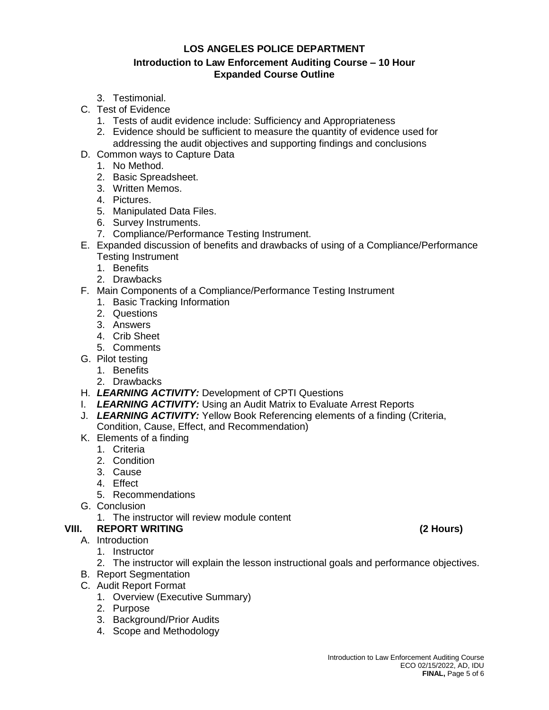### **Introduction to Law Enforcement Auditing Course – 10 Hour Expanded Course Outline**

- 3. Testimonial.
- C. Test of Evidence
	- 1. Tests of audit evidence include: Sufficiency and Appropriateness
	- 2. Evidence should be sufficient to measure the quantity of evidence used for addressing the audit objectives and supporting findings and conclusions
- D. Common ways to Capture Data
	- 1. No Method.
	- 2. Basic Spreadsheet.
	- 3. Written Memos.
	- 4. Pictures.
	- 5. Manipulated Data Files.
	- 6. Survey Instruments.
	- 7. Compliance/Performance Testing Instrument.
- E. Expanded discussion of benefits and drawbacks of using of a Compliance/Performance Testing Instrument
	- 1. Benefits
	- 2. Drawbacks
- F. Main Components of a Compliance/Performance Testing Instrument
	- 1. Basic Tracking Information
	- 2. Questions
	- 3. Answers
	- 4. Crib Sheet
	- 5. Comments
- G. Pilot testing
	- 1. Benefits
	- 2. Drawbacks
- H. *LEARNING ACTIVITY:* Development of CPTI Questions
- I. *LEARNING ACTIVITY:* Using an Audit Matrix to Evaluate Arrest Reports
- J. *LEARNING ACTIVITY:* Yellow Book Referencing elements of a finding (Criteria, Condition, Cause, Effect, and Recommendation)
- K. Elements of a finding
	- 1. Criteria
	- 2. Condition
	- 3. Cause
	- 4. Effect
	- 5. Recommendations
- G. Conclusion
	- 1. The instructor will review module content
- **VIII. REPORT WRITING (2 Hours)**
	- A. Introduction
		- 1. Instructor
		- 2. The instructor will explain the lesson instructional goals and performance objectives.
	- B. Report Segmentation
	- C. Audit Report Format
		- 1. Overview (Executive Summary)
		- 2. Purpose
		- 3. Background/Prior Audits
		- 4. Scope and Methodology